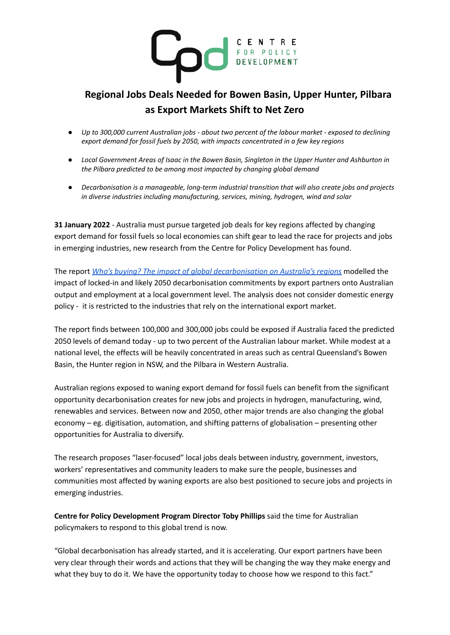

## **Regional Jobs Deals Needed for Bowen Basin, Upper Hunter, Pilbara as Export Markets Shift to Net Zero**

- Up to 300,000 current Australian jobs about two percent of the labour market exposed to declining *export demand for fossil fuels by 2050, with impacts concentrated in a few key regions*
- Local Government Areas of Isaac in the Bowen Basin, Singleton in the Upper Hunter and Ashburton in *the Pilbara predicted to be among most impacted by changing global demand*
- *● Decarbonisation is a manageable, long-term industrial transition that will also create jobs and projects in diverse industries including manufacturing, services, mining, hydrogen, wind and solar*

**31 January 2022** - Australia must pursue targeted job deals for key regions affected by changing export demand for fossil fuels so local economies can shift gear to lead the race for projects and jobs in emerging industries, new research from the Centre for Policy Development has found.

The report *Who's buying? The impact of global [decarbonisation](http://cpd.org.au/2022/01/whos-buying-centre-for-policy-development/) on Australia's regions* modelled the impact of locked-in and likely 2050 decarbonisation commitments by export partners onto Australian output and employment at a local government level. The analysis does not consider domestic energy policy - it is restricted to the industries that rely on the international export market.

The report finds between 100,000 and 300,000 jobs could be exposed if Australia faced the predicted 2050 levels of demand today - up to two percent of the Australian labour market. While modest at a national level, the effects will be heavily concentrated in areas such as central Queensland's Bowen Basin, the Hunter region in NSW, and the Pilbara in Western Australia.

Australian regions exposed to waning export demand for fossil fuels can benefit from the significant opportunity decarbonisation creates for new jobs and projects in hydrogen, manufacturing, wind, renewables and services. Between now and 2050, other major trends are also changing the global economy – eg. digitisation, automation, and shifting patterns of globalisation – presenting other opportunities for Australia to diversify.

The research proposes "laser-focused" local jobs deals between industry, government, investors, workers' representatives and community leaders to make sure the people, businesses and communities most affected by waning exports are also best positioned to secure jobs and projects in emerging industries.

**Centre for Policy Development Program Director Toby Phillips** said the time for Australian policymakers to respond to this global trend is now.

"Global decarbonisation has already started, and it is accelerating. Our export partners have been very clear through their words and actions that they will be changing the way they make energy and what they buy to do it. We have the opportunity today to choose how we respond to this fact."